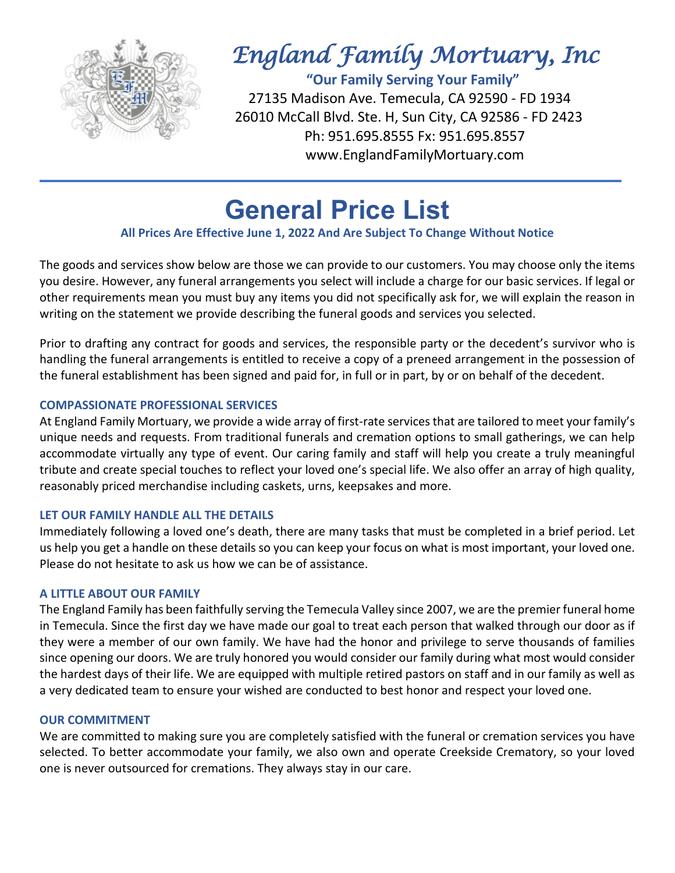

# *England Family Mortuary, Inc*

 **"Our Family Serving Your Family"** 27135 Madison Ave. Temecula, CA 92590 - FD 1934 26010 McCall Blvd. Ste. H, Sun City, CA 92586 - FD 2423 Ph: 951.695.8555 Fx: 951.695.8557 www.EnglandFamilyMortuary.com

# **General Price List**

# **All Prices Are Effective June 1, 2022 And Are Subject To Change Without Notice**

The goods and services show below are those we can provide to our customers. You may choose only the items you desire. However, any funeral arrangements you select will include a charge for our basic services. If legal or other requirements mean you must buy any items you did not specifically ask for, we will explain the reason in writing on the statement we provide describing the funeral goods and services you selected.

Prior to drafting any contract for goods and services, the responsible party or the decedent's survivor who is handling the funeral arrangements is entitled to receive a copy of a preneed arrangement in the possession of the funeral establishment has been signed and paid for, in full or in part, by or on behalf of the decedent.

### **COMPASSIONATE PROFESSIONAL SERVICES**

At England Family Mortuary, we provide a wide array of first-rate services that are tailored to meet your family's unique needs and requests. From traditional funerals and cremation options to small gatherings, we can help accommodate virtually any type of event. Our caring family and staff will help you create a truly meaningful tribute and create special touches to reflect your loved one's special life. We also offer an array of high quality, reasonably priced merchandise including caskets, urns, keepsakes and more.

### **LET OUR FAMILY HANDLE ALL THE DETAILS**

Immediately following a loved one's death, there are many tasks that must be completed in a brief period. Let us help you get a handle on these details so you can keep your focus on what is most important, your loved one. Please do not hesitate to ask us how we can be of assistance.

# **A LITTLE ABOUT OUR FAMILY**

The England Family has been faithfully serving the Temecula Valley since 2007, we are the premier funeral home in Temecula. Since the first day we have made our goal to treat each person that walked through our door as if they were a member of our own family. We have had the honor and privilege to serve thousands of families since opening our doors. We are truly honored you would consider our family during what most would consider the hardest days of their life. We are equipped with multiple retired pastors on staff and in our family as well as a very dedicated team to ensure your wished are conducted to best honor and respect your loved one.

### **OUR COMMITMENT**

We are committed to making sure you are completely satisfied with the funeral or cremation services you have selected. To better accommodate your family, we also own and operate Creekside Crematory, so your loved one is never outsourced for cremations. They always stay in our care.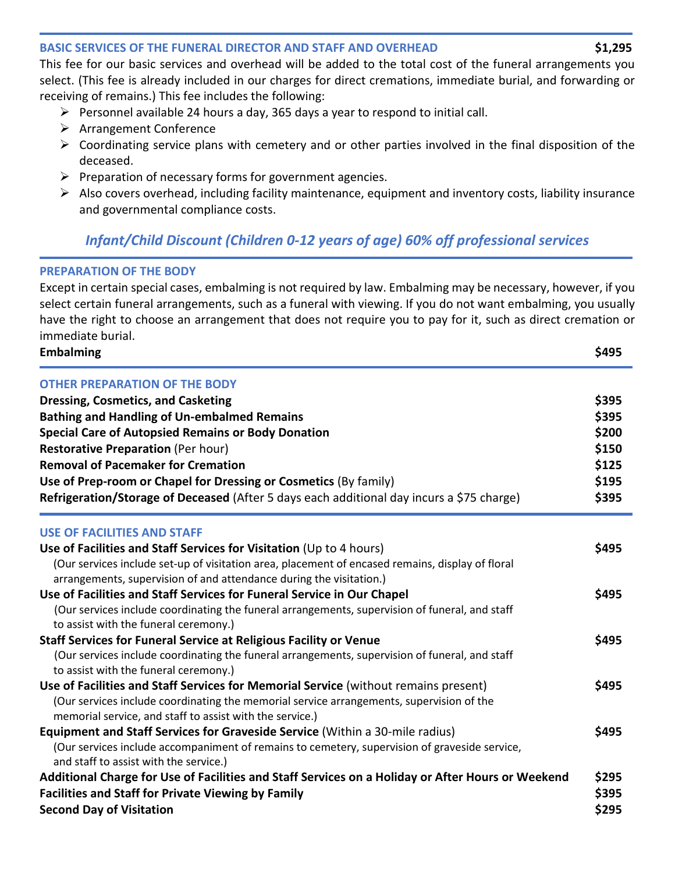### **BASIC SERVICES OF THE FUNERAL DIRECTOR AND STAFF AND OVERHEAD \$1,295**

This fee for our basic services and overhead will be added to the total cost of the funeral arrangements you select. (This fee is already included in our charges for direct cremations, immediate burial, and forwarding or receiving of remains.) This fee includes the following:

- $\triangleright$  Personnel available 24 hours a day, 365 days a year to respond to initial call.
- $\triangleright$  Arrangement Conference
- $\triangleright$  Coordinating service plans with cemetery and or other parties involved in the final disposition of the deceased.
- $\triangleright$  Preparation of necessary forms for government agencies.
- $\triangleright$  Also covers overhead, including facility maintenance, equipment and inventory costs, liability insurance and governmental compliance costs.

# *Infant/Child Discount (Children 0-12 years of age) 60% off professional services*

### **PREPARATION OF THE BODY**

Except in certain special cases, embalming is not required by law. Embalming may be necessary, however, if you select certain funeral arrangements, such as a funeral with viewing. If you do not want embalming, you usually have the right to choose an arrangement that does not require you to pay for it, such as direct cremation or immediate burial.

**Embalming \$495**

| <b>OTHER PREPARATION OF THE BODY</b>                                                                                                                                    |       |
|-------------------------------------------------------------------------------------------------------------------------------------------------------------------------|-------|
| <b>Dressing, Cosmetics, and Casketing</b>                                                                                                                               | \$395 |
| <b>Bathing and Handling of Un-embalmed Remains</b>                                                                                                                      | \$395 |
| <b>Special Care of Autopsied Remains or Body Donation</b>                                                                                                               | \$200 |
| <b>Restorative Preparation (Per hour)</b><br><b>Removal of Pacemaker for Cremation</b>                                                                                  | \$150 |
|                                                                                                                                                                         | \$125 |
| Use of Prep-room or Chapel for Dressing or Cosmetics (By family)                                                                                                        | \$195 |
| Refrigeration/Storage of Deceased (After 5 days each additional day incurs a \$75 charge)                                                                               | \$395 |
| <b>USE OF FACILITIES AND STAFF</b>                                                                                                                                      |       |
| Use of Facilities and Staff Services for Visitation (Up to 4 hours)                                                                                                     | \$495 |
| (Our services include set-up of visitation area, placement of encased remains, display of floral<br>arrangements, supervision of and attendance during the visitation.) |       |
| Use of Facilities and Staff Services for Funeral Service in Our Chapel                                                                                                  | \$495 |
| (Our services include coordinating the funeral arrangements, supervision of funeral, and staff<br>to assist with the funeral ceremony.)                                 |       |
| <b>Staff Services for Funeral Service at Religious Facility or Venue</b>                                                                                                | \$495 |
| (Our services include coordinating the funeral arrangements, supervision of funeral, and staff                                                                          |       |
| to assist with the funeral ceremony.)                                                                                                                                   |       |
| Use of Facilities and Staff Services for Memorial Service (without remains present)                                                                                     | \$495 |
| (Our services include coordinating the memorial service arrangements, supervision of the<br>memorial service, and staff to assist with the service.)                    |       |
| Equipment and Staff Services for Graveside Service (Within a 30-mile radius)                                                                                            | \$495 |
| (Our services include accompaniment of remains to cemetery, supervision of graveside service,<br>and staff to assist with the service.)                                 |       |
| Additional Charge for Use of Facilities and Staff Services on a Holiday or After Hours or Weekend                                                                       | \$295 |
| <b>Facilities and Staff for Private Viewing by Family</b>                                                                                                               | \$395 |
| <b>Second Day of Visitation</b>                                                                                                                                         | \$295 |
|                                                                                                                                                                         |       |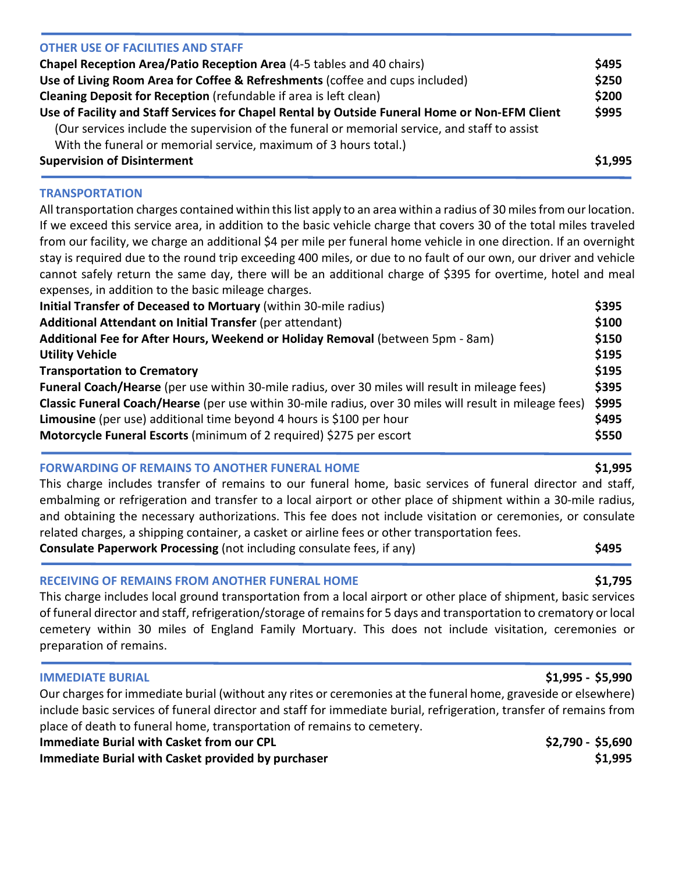| <b>Supervision of Disinterment</b>                                                             | \$1,995 |
|------------------------------------------------------------------------------------------------|---------|
| With the funeral or memorial service, maximum of 3 hours total.)                               |         |
| (Our services include the supervision of the funeral or memorial service, and staff to assist  |         |
| Use of Facility and Staff Services for Chapel Rental by Outside Funeral Home or Non-EFM Client | \$995   |
| Cleaning Deposit for Reception (refundable if area is left clean)                              | \$200   |
| Use of Living Room Area for Coffee & Refreshments (coffee and cups included)                   | \$250   |
| Chapel Reception Area/Patio Reception Area (4-5 tables and 40 chairs)                          | \$495   |
| <b>OTHER USE OF FACILITIES AND STAFF</b>                                                       |         |

#### **TRANSPORTATION**

All transportation charges contained within this list apply to an area within a radius of 30 miles from our location. If we exceed this service area, in addition to the basic vehicle charge that covers 30 of the total miles traveled from our facility, we charge an additional \$4 per mile per funeral home vehicle in one direction. If an overnight stay is required due to the round trip exceeding 400 miles, or due to no fault of our own, our driver and vehicle cannot safely return the same day, there will be an additional charge of \$395 for overtime, hotel and meal expenses, in addition to the basic mileage charges.

| Initial Transfer of Deceased to Mortuary (within 30-mile radius)                                        | \$395 |
|---------------------------------------------------------------------------------------------------------|-------|
| Additional Attendant on Initial Transfer (per attendant)                                                | \$100 |
| Additional Fee for After Hours, Weekend or Holiday Removal (between 5pm - 8am)                          | \$150 |
| <b>Utility Vehicle</b>                                                                                  | \$195 |
| <b>Transportation to Crematory</b>                                                                      | \$195 |
| Funeral Coach/Hearse (per use within 30-mile radius, over 30 miles will result in mileage fees)         | \$395 |
| Classic Funeral Coach/Hearse (per use within 30-mile radius, over 30 miles will result in mileage fees) | \$995 |
| Limousine (per use) additional time beyond 4 hours is \$100 per hour                                    | \$495 |
| Motorcycle Funeral Escorts (minimum of 2 required) \$275 per escort                                     | \$550 |

### **FORWARDING OF REMAINS TO ANOTHER FUNERAL HOME \$1,995**

This charge includes transfer of remains to our funeral home, basic services of funeral director and staff, embalming or refrigeration and transfer to a local airport or other place of shipment within a 30-mile radius, and obtaining the necessary authorizations. This fee does not include visitation or ceremonies, or consulate related charges, a shipping container, a casket or airline fees or other transportation fees.

**Consulate Paperwork Processing** (not including consulate fees, if any) **\$495**

### **RECEIVING OF REMAINS FROM ANOTHER FUNERAL HOME \$1,795**

This charge includes local ground transportation from a local airport or other place of shipment, basic services of funeral director and staff, refrigeration/storage of remains for 5 days and transportation to crematory or local cemetery within 30 miles of England Family Mortuary. This does not include visitation, ceremonies or preparation of remains.

| <b>IMMEDIATE BURIAL</b>                                                                                            | \$1,995 - \$5,990 |
|--------------------------------------------------------------------------------------------------------------------|-------------------|
| Our charges for immediate burial (without any rites or ceremonies at the funeral home, graveside or elsewhere)     |                   |
| include basic services of funeral director and staff for immediate burial, refrigeration, transfer of remains from |                   |
| place of death to funeral home, transportation of remains to cemetery.                                             |                   |
| <b>Immediate Burial with Casket from our CPL</b>                                                                   | \$2,790 - \$5,690 |
| Immediate Burial with Casket provided by purchaser                                                                 | \$1,995           |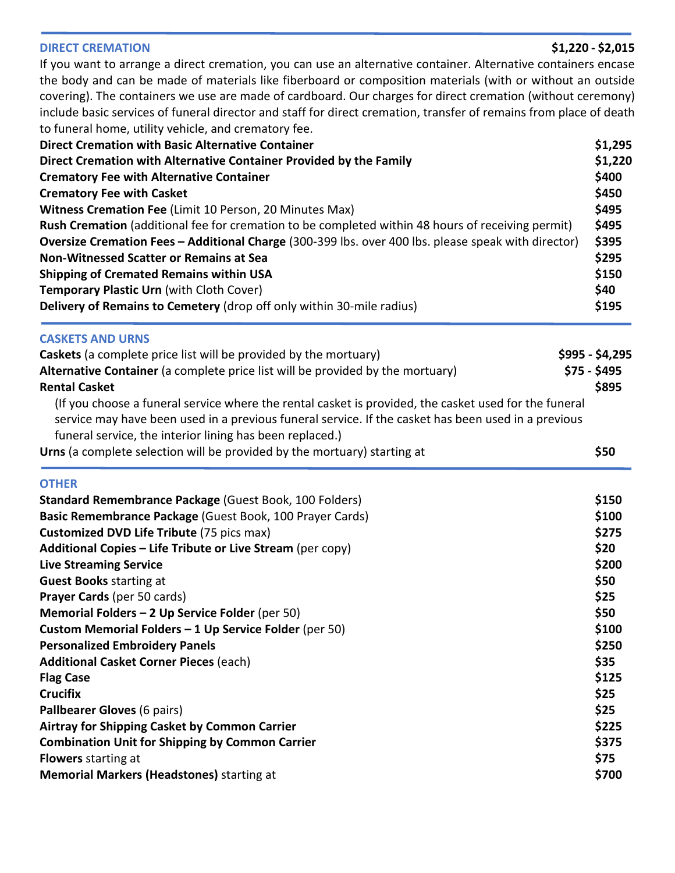#### **DIRECT CREMATION \$1,220 - \$2,015**

If you want to arrange a direct cremation, you can use an alternative container. Alternative containers encase the body and can be made of materials like fiberboard or composition materials (with or without an outside covering). The containers we use are made of cardboard. Our charges for direct cremation (without ceremony) include basic services of funeral director and staff for direct cremation, transfer of remains from place of death to funeral home, utility vehicle, and crematory fee.

| <b>Direct Cremation with Basic Alternative Container</b>                                            | \$1,295 |
|-----------------------------------------------------------------------------------------------------|---------|
| Direct Cremation with Alternative Container Provided by the Family                                  | \$1,220 |
| <b>Crematory Fee with Alternative Container</b>                                                     | \$400   |
| <b>Crematory Fee with Casket</b>                                                                    | \$450   |
| Witness Cremation Fee (Limit 10 Person, 20 Minutes Max)                                             | \$495   |
| Rush Cremation (additional fee for cremation to be completed within 48 hours of receiving permit)   | \$495   |
| Oversize Cremation Fees - Additional Charge (300-399 lbs. over 400 lbs. please speak with director) | \$395   |
| Non-Witnessed Scatter or Remains at Sea                                                             | \$295   |
| <b>Shipping of Cremated Remains within USA</b>                                                      | \$150   |
| <b>Temporary Plastic Urn (with Cloth Cover)</b>                                                     | \$40    |
| Delivery of Remains to Cemetery (drop off only within 30-mile radius)                               | \$195   |

#### **CASKETS AND URNS**

| Caskets (a complete price list will be provided by the mortuary)                                                                                                                                                                                                         | $$995 - $4,295$ |
|--------------------------------------------------------------------------------------------------------------------------------------------------------------------------------------------------------------------------------------------------------------------------|-----------------|
| Alternative Container (a complete price list will be provided by the mortuary)                                                                                                                                                                                           | $$75 - $495$    |
| <b>Rental Casket</b>                                                                                                                                                                                                                                                     | \$895           |
| (If you choose a funeral service where the rental casket is provided, the casket used for the funeral<br>service may have been used in a previous funeral service. If the casket has been used in a previous<br>funeral service, the interior lining has been replaced.) |                 |
| Urns (a complete selection will be provided by the mortuary) starting at                                                                                                                                                                                                 | \$50            |
|                                                                                                                                                                                                                                                                          |                 |

#### **OTHER**

| Standard Remembrance Package (Guest Book, 100 Folders)     | \$150 |
|------------------------------------------------------------|-------|
| Basic Remembrance Package (Guest Book, 100 Prayer Cards)   | \$100 |
| <b>Customized DVD Life Tribute (75 pics max)</b>           | \$275 |
| Additional Copies – Life Tribute or Live Stream (per copy) | \$20  |
| <b>Live Streaming Service</b>                              | \$200 |
| <b>Guest Books starting at</b>                             | \$50  |
| <b>Prayer Cards (per 50 cards)</b>                         | \$25  |
| Memorial Folders $-2$ Up Service Folder (per 50)           | \$50  |
| Custom Memorial Folders $-1$ Up Service Folder (per 50)    | \$100 |
| <b>Personalized Embroidery Panels</b>                      | \$250 |
| <b>Additional Casket Corner Pieces (each)</b>              | \$35  |
| <b>Flag Case</b>                                           | \$125 |
| <b>Crucifix</b>                                            | \$25  |
| Pallbearer Gloves (6 pairs)                                | \$25  |
| Airtray for Shipping Casket by Common Carrier              | \$225 |
| <b>Combination Unit for Shipping by Common Carrier</b>     | \$375 |
| <b>Flowers</b> starting at                                 | \$75  |
| <b>Memorial Markers (Headstones)</b> starting at           | \$700 |